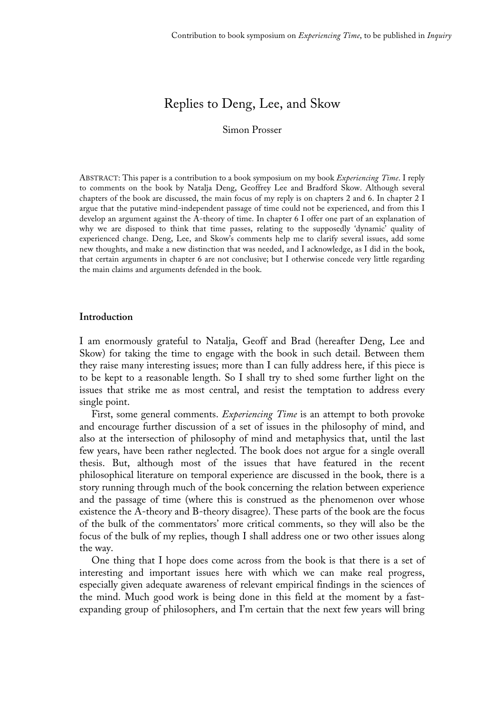# Replies to Deng, Lee, and Skow

## Simon Prosser

ABSTRACT: This paper is a contribution to a book symposium on my book *Experiencing Time*. I reply to comments on the book by Natalja Deng, Geoffrey Lee and Bradford Skow. Although several chapters of the book are discussed, the main focus of my reply is on chapters 2 and 6. In chapter 2 I argue that the putative mind-independent passage of time could not be experienced, and from this I develop an argument against the A-theory of time. In chapter 6 I offer one part of an explanation of why we are disposed to think that time passes, relating to the supposedly 'dynamic' quality of experienced change. Deng, Lee, and Skow's comments help me to clarify several issues, add some new thoughts, and make a new distinction that was needed, and I acknowledge, as I did in the book, that certain arguments in chapter 6 are not conclusive; but I otherwise concede very little regarding the main claims and arguments defended in the book.

#### **Introduction**

I am enormously grateful to Natalja, Geoff and Brad (hereafter Deng, Lee and Skow) for taking the time to engage with the book in such detail. Between them they raise many interesting issues; more than I can fully address here, if this piece is to be kept to a reasonable length. So I shall try to shed some further light on the issues that strike me as most central, and resist the temptation to address every single point.

First, some general comments. *Experiencing Time* is an attempt to both provoke and encourage further discussion of a set of issues in the philosophy of mind, and also at the intersection of philosophy of mind and metaphysics that, until the last few years, have been rather neglected. The book does not argue for a single overall thesis. But, although most of the issues that have featured in the recent philosophical literature on temporal experience are discussed in the book, there is a story running through much of the book concerning the relation between experience and the passage of time (where this is construed as the phenomenon over whose existence the A-theory and B-theory disagree). These parts of the book are the focus of the bulk of the commentators' more critical comments, so they will also be the focus of the bulk of my replies, though I shall address one or two other issues along the way.

One thing that I hope does come across from the book is that there is a set of interesting and important issues here with which we can make real progress, especially given adequate awareness of relevant empirical findings in the sciences of the mind. Much good work is being done in this field at the moment by a fastexpanding group of philosophers, and I'm certain that the next few years will bring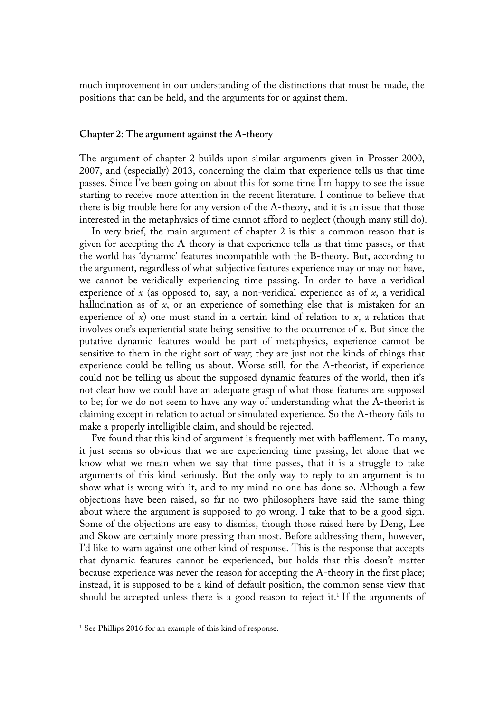much improvement in our understanding of the distinctions that must be made, the positions that can be held, and the arguments for or against them.

## **Chapter 2: The argument against the A-theory**

The argument of chapter 2 builds upon similar arguments given in Prosser 2000, 2007, and (especially) 2013, concerning the claim that experience tells us that time passes. Since I've been going on about this for some time I'm happy to see the issue starting to receive more attention in the recent literature. I continue to believe that there is big trouble here for any version of the A-theory, and it is an issue that those interested in the metaphysics of time cannot afford to neglect (though many still do).

In very brief, the main argument of chapter 2 is this: a common reason that is given for accepting the A-theory is that experience tells us that time passes, or that the world has 'dynamic' features incompatible with the B-theory. But, according to the argument, regardless of what subjective features experience may or may not have, we cannot be veridically experiencing time passing. In order to have a veridical experience of *x* (as opposed to, say, a non-veridical experience as of *x*, a veridical hallucination as of *x*, or an experience of something else that is mistaken for an experience of *x*) one must stand in a certain kind of relation to *x*, a relation that involves one's experiential state being sensitive to the occurrence of *x*. But since the putative dynamic features would be part of metaphysics, experience cannot be sensitive to them in the right sort of way; they are just not the kinds of things that experience could be telling us about. Worse still, for the A-theorist, if experience could not be telling us about the supposed dynamic features of the world, then it's not clear how we could have an adequate grasp of what those features are supposed to be; for we do not seem to have any way of understanding what the A-theorist is claiming except in relation to actual or simulated experience. So the A-theory fails to make a properly intelligible claim, and should be rejected.

I've found that this kind of argument is frequently met with bafflement. To many, it just seems so obvious that we are experiencing time passing, let alone that we know what we mean when we say that time passes, that it is a struggle to take arguments of this kind seriously. But the only way to reply to an argument is to show what is wrong with it, and to my mind no one has done so. Although a few objections have been raised, so far no two philosophers have said the same thing about where the argument is supposed to go wrong. I take that to be a good sign. Some of the objections are easy to dismiss, though those raised here by Deng, Lee and Skow are certainly more pressing than most. Before addressing them, however, I'd like to warn against one other kind of response. This is the response that accepts that dynamic features cannot be experienced, but holds that this doesn't matter because experience was never the reason for accepting the A-theory in the first place; instead, it is supposed to be a kind of default position, the common sense view that should be accepted unless there is a good reason to reject it.<sup>1</sup> If the arguments of

 $\overline{a}$ 

<sup>&</sup>lt;sup>1</sup> See Phillips 2016 for an example of this kind of response.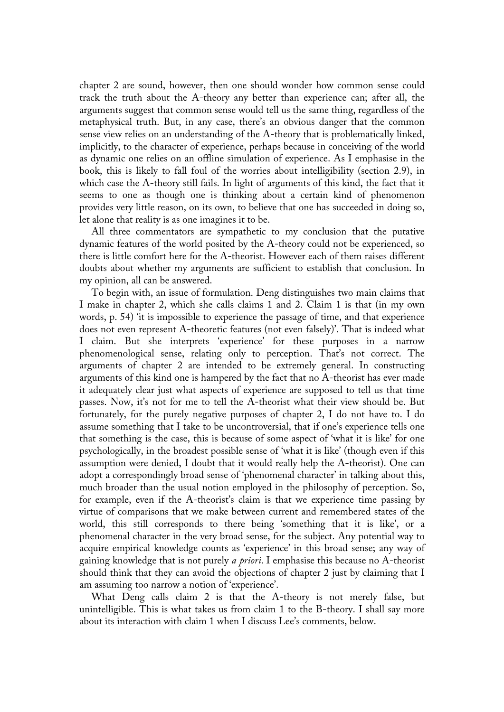chapter 2 are sound, however, then one should wonder how common sense could track the truth about the A-theory any better than experience can; after all, the arguments suggest that common sense would tell us the same thing, regardless of the metaphysical truth. But, in any case, there's an obvious danger that the common sense view relies on an understanding of the A-theory that is problematically linked, implicitly, to the character of experience, perhaps because in conceiving of the world as dynamic one relies on an offline simulation of experience. As I emphasise in the book, this is likely to fall foul of the worries about intelligibility (section 2.9), in which case the A-theory still fails. In light of arguments of this kind, the fact that it seems to one as though one is thinking about a certain kind of phenomenon provides very little reason, on its own, to believe that one has succeeded in doing so, let alone that reality is as one imagines it to be.

All three commentators are sympathetic to my conclusion that the putative dynamic features of the world posited by the A-theory could not be experienced, so there is little comfort here for the A-theorist. However each of them raises different doubts about whether my arguments are sufficient to establish that conclusion. In my opinion, all can be answered.

To begin with, an issue of formulation. Deng distinguishes two main claims that I make in chapter 2, which she calls claims 1 and 2. Claim 1 is that (in my own words, p. 54) 'it is impossible to experience the passage of time, and that experience does not even represent A-theoretic features (not even falsely)'. That is indeed what I claim. But she interprets 'experience' for these purposes in a narrow phenomenological sense, relating only to perception. That's not correct. The arguments of chapter 2 are intended to be extremely general. In constructing arguments of this kind one is hampered by the fact that no A-theorist has ever made it adequately clear just what aspects of experience are supposed to tell us that time passes. Now, it's not for me to tell the A-theorist what their view should be. But fortunately, for the purely negative purposes of chapter 2, I do not have to. I do assume something that I take to be uncontroversial, that if one's experience tells one that something is the case, this is because of some aspect of 'what it is like' for one psychologically, in the broadest possible sense of 'what it is like' (though even if this assumption were denied, I doubt that it would really help the A-theorist). One can adopt a correspondingly broad sense of 'phenomenal character' in talking about this, much broader than the usual notion employed in the philosophy of perception. So, for example, even if the A-theorist's claim is that we experience time passing by virtue of comparisons that we make between current and remembered states of the world, this still corresponds to there being 'something that it is like', or a phenomenal character in the very broad sense, for the subject. Any potential way to acquire empirical knowledge counts as 'experience' in this broad sense; any way of gaining knowledge that is not purely *a priori*. I emphasise this because no A-theorist should think that they can avoid the objections of chapter 2 just by claiming that I am assuming too narrow a notion of 'experience'.

What Deng calls claim 2 is that the A-theory is not merely false, but unintelligible. This is what takes us from claim 1 to the B-theory. I shall say more about its interaction with claim 1 when I discuss Lee's comments, below.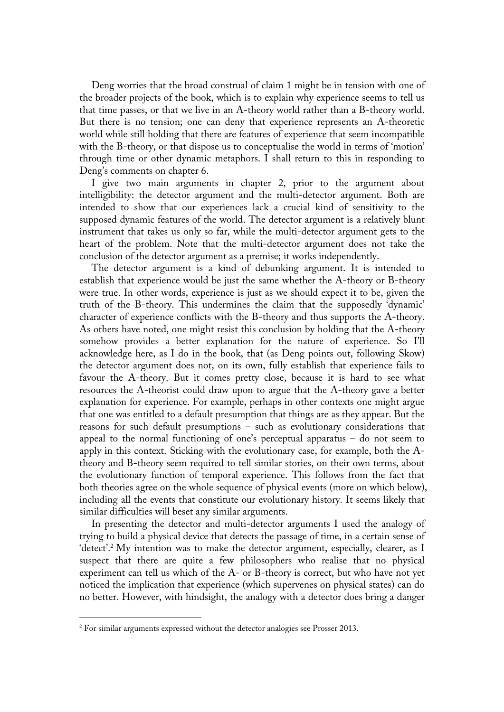Deng worries that the broad construal of claim 1 might be in tension with one of the broader projects of the book, which is to explain why experience seems to tell us that time passes, or that we live in an A-theory world rather than a B-theory world. But there is no tension; one can deny that experience represents an A-theoretic world while still holding that there are features of experience that seem incompatible with the B-theory, or that dispose us to conceptualise the world in terms of 'motion' through time or other dynamic metaphors. I shall return to this in responding to Deng's comments on chapter 6.

I give two main arguments in chapter 2, prior to the argument about intelligibility: the detector argument and the multi-detector argument. Both are intended to show that our experiences lack a crucial kind of sensitivity to the supposed dynamic features of the world. The detector argument is a relatively blunt instrument that takes us only so far, while the multi-detector argument gets to the heart of the problem. Note that the multi-detector argument does not take the conclusion of the detector argument as a premise; it works independently.

The detector argument is a kind of debunking argument. It is intended to establish that experience would be just the same whether the A-theory or B-theory were true. In other words, experience is just as we should expect it to be, given the truth of the B-theory. This undermines the claim that the supposedly 'dynamic' character of experience conflicts with the B-theory and thus supports the A-theory. As others have noted, one might resist this conclusion by holding that the A-theory somehow provides a better explanation for the nature of experience. So I'll acknowledge here, as I do in the book, that (as Deng points out, following Skow) the detector argument does not, on its own, fully establish that experience fails to favour the A-theory. But it comes pretty close, because it is hard to see what resources the A-theorist could draw upon to argue that the A-theory gave a better explanation for experience. For example, perhaps in other contexts one might argue that one was entitled to a default presumption that things are as they appear. But the reasons for such default presumptions – such as evolutionary considerations that appeal to the normal functioning of one's perceptual apparatus – do not seem to apply in this context. Sticking with the evolutionary case, for example, both the Atheory and B-theory seem required to tell similar stories, on their own terms, about the evolutionary function of temporal experience. This follows from the fact that both theories agree on the whole sequence of physical events (more on which below), including all the events that constitute our evolutionary history. It seems likely that similar difficulties will beset any similar arguments.

In presenting the detector and multi-detector arguments I used the analogy of trying to build a physical device that detects the passage of time, in a certain sense of 'detect'.2 My intention was to make the detector argument, especially, clearer, as I suspect that there are quite a few philosophers who realise that no physical experiment can tell us which of the A- or B-theory is correct, but who have not yet noticed the implication that experience (which supervenes on physical states) can do no better. However, with hindsight, the analogy with a detector does bring a danger

 $\overline{a}$ 

<sup>&</sup>lt;sup>2</sup> For similar arguments expressed without the detector analogies see Prosser 2013.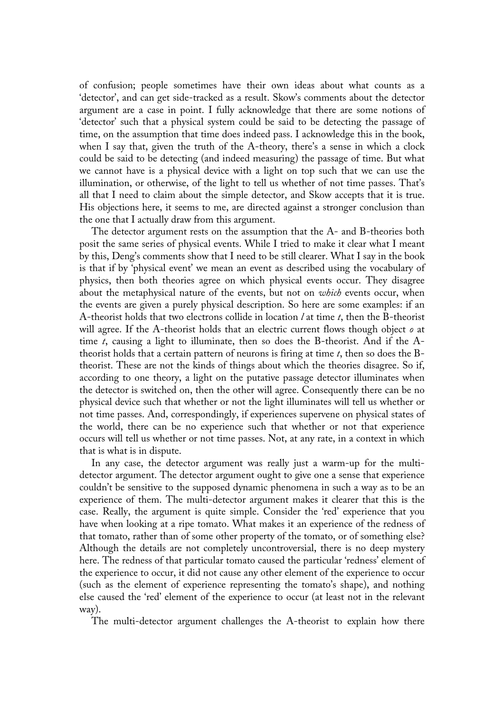of confusion; people sometimes have their own ideas about what counts as a 'detector', and can get side-tracked as a result. Skow's comments about the detector argument are a case in point. I fully acknowledge that there are some notions of 'detector' such that a physical system could be said to be detecting the passage of time, on the assumption that time does indeed pass. I acknowledge this in the book, when I say that, given the truth of the A-theory, there's a sense in which a clock could be said to be detecting (and indeed measuring) the passage of time. But what we cannot have is a physical device with a light on top such that we can use the illumination, or otherwise, of the light to tell us whether of not time passes. That's all that I need to claim about the simple detector, and Skow accepts that it is true. His objections here, it seems to me, are directed against a stronger conclusion than the one that I actually draw from this argument.

The detector argument rests on the assumption that the A- and B-theories both posit the same series of physical events. While I tried to make it clear what I meant by this, Deng's comments show that I need to be still clearer. What I say in the book is that if by 'physical event' we mean an event as described using the vocabulary of physics, then both theories agree on which physical events occur. They disagree about the metaphysical nature of the events, but not on *which* events occur, when the events are given a purely physical description. So here are some examples: if an A-theorist holds that two electrons collide in location *l* at time *t*, then the B-theorist will agree. If the A-theorist holds that an electric current flows though object *o* at time *t*, causing a light to illuminate, then so does the B-theorist. And if the Atheorist holds that a certain pattern of neurons is firing at time *t*, then so does the Btheorist. These are not the kinds of things about which the theories disagree. So if, according to one theory, a light on the putative passage detector illuminates when the detector is switched on, then the other will agree. Consequently there can be no physical device such that whether or not the light illuminates will tell us whether or not time passes. And, correspondingly, if experiences supervene on physical states of the world, there can be no experience such that whether or not that experience occurs will tell us whether or not time passes. Not, at any rate, in a context in which that is what is in dispute.

In any case, the detector argument was really just a warm-up for the multidetector argument. The detector argument ought to give one a sense that experience couldn't be sensitive to the supposed dynamic phenomena in such a way as to be an experience of them. The multi-detector argument makes it clearer that this is the case. Really, the argument is quite simple. Consider the 'red' experience that you have when looking at a ripe tomato. What makes it an experience of the redness of that tomato, rather than of some other property of the tomato, or of something else? Although the details are not completely uncontroversial, there is no deep mystery here. The redness of that particular tomato caused the particular 'redness' element of the experience to occur, it did not cause any other element of the experience to occur (such as the element of experience representing the tomato's shape), and nothing else caused the 'red' element of the experience to occur (at least not in the relevant way).

The multi-detector argument challenges the A-theorist to explain how there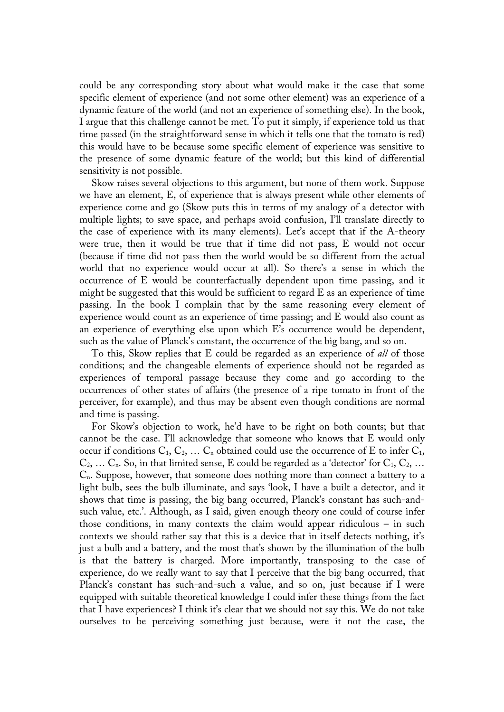could be any corresponding story about what would make it the case that some specific element of experience (and not some other element) was an experience of a dynamic feature of the world (and not an experience of something else). In the book, I argue that this challenge cannot be met. To put it simply, if experience told us that time passed (in the straightforward sense in which it tells one that the tomato is red) this would have to be because some specific element of experience was sensitive to the presence of some dynamic feature of the world; but this kind of differential sensitivity is not possible.

Skow raises several objections to this argument, but none of them work. Suppose we have an element, E, of experience that is always present while other elements of experience come and go (Skow puts this in terms of my analogy of a detector with multiple lights; to save space, and perhaps avoid confusion, I'll translate directly to the case of experience with its many elements). Let's accept that if the A-theory were true, then it would be true that if time did not pass, E would not occur (because if time did not pass then the world would be so different from the actual world that no experience would occur at all). So there's a sense in which the occurrence of E would be counterfactually dependent upon time passing, and it might be suggested that this would be sufficient to regard E as an experience of time passing. In the book I complain that by the same reasoning every element of experience would count as an experience of time passing; and E would also count as an experience of everything else upon which E's occurrence would be dependent, such as the value of Planck's constant, the occurrence of the big bang, and so on.

To this, Skow replies that E could be regarded as an experience of *all* of those conditions; and the changeable elements of experience should not be regarded as experiences of temporal passage because they come and go according to the occurrences of other states of affairs (the presence of a ripe tomato in front of the perceiver, for example), and thus may be absent even though conditions are normal and time is passing.

For Skow's objection to work, he'd have to be right on both counts; but that cannot be the case. I'll acknowledge that someone who knows that E would only occur if conditions  $C_1, C_2, \ldots C_n$  obtained could use the occurrence of E to infer  $C_1$ ,  $C_2, \ldots C_n$ . So, in that limited sense, E could be regarded as a 'detector' for  $C_1, C_2, \ldots$  $C_n$ . Suppose, however, that someone does nothing more than connect a battery to a light bulb, sees the bulb illuminate, and says 'look, I have a built a detector, and it shows that time is passing, the big bang occurred, Planck's constant has such-andsuch value, etc.'. Although, as I said, given enough theory one could of course infer those conditions, in many contexts the claim would appear ridiculous – in such contexts we should rather say that this is a device that in itself detects nothing, it's just a bulb and a battery, and the most that's shown by the illumination of the bulb is that the battery is charged. More importantly, transposing to the case of experience, do we really want to say that I perceive that the big bang occurred, that Planck's constant has such-and-such a value, and so on, just because if I were equipped with suitable theoretical knowledge I could infer these things from the fact that I have experiences? I think it's clear that we should not say this. We do not take ourselves to be perceiving something just because, were it not the case, the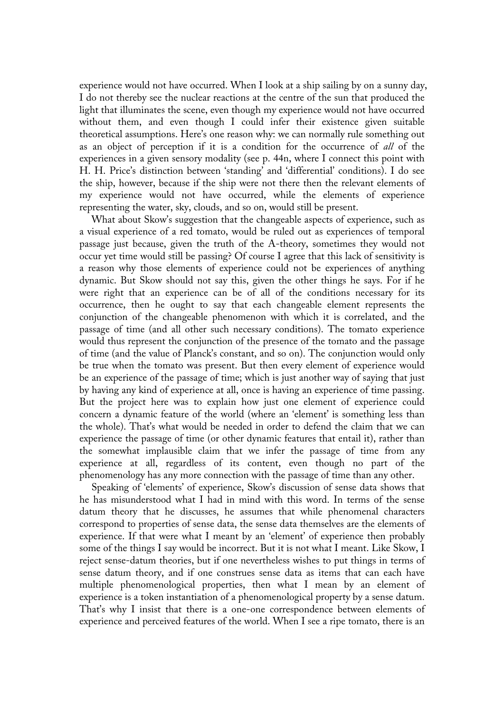experience would not have occurred. When I look at a ship sailing by on a sunny day, I do not thereby see the nuclear reactions at the centre of the sun that produced the light that illuminates the scene, even though my experience would not have occurred without them, and even though I could infer their existence given suitable theoretical assumptions. Here's one reason why: we can normally rule something out as an object of perception if it is a condition for the occurrence of *all* of the experiences in a given sensory modality (see p. 44n, where I connect this point with H. H. Price's distinction between 'standing' and 'differential' conditions). I do see the ship, however, because if the ship were not there then the relevant elements of my experience would not have occurred, while the elements of experience representing the water, sky, clouds, and so on, would still be present.

What about Skow's suggestion that the changeable aspects of experience, such as a visual experience of a red tomato, would be ruled out as experiences of temporal passage just because, given the truth of the A-theory, sometimes they would not occur yet time would still be passing? Of course I agree that this lack of sensitivity is a reason why those elements of experience could not be experiences of anything dynamic. But Skow should not say this, given the other things he says. For if he were right that an experience can be of all of the conditions necessary for its occurrence, then he ought to say that each changeable element represents the conjunction of the changeable phenomenon with which it is correlated, and the passage of time (and all other such necessary conditions). The tomato experience would thus represent the conjunction of the presence of the tomato and the passage of time (and the value of Planck's constant, and so on). The conjunction would only be true when the tomato was present. But then every element of experience would be an experience of the passage of time; which is just another way of saying that just by having any kind of experience at all, once is having an experience of time passing. But the project here was to explain how just one element of experience could concern a dynamic feature of the world (where an 'element' is something less than the whole). That's what would be needed in order to defend the claim that we can experience the passage of time (or other dynamic features that entail it), rather than the somewhat implausible claim that we infer the passage of time from any experience at all, regardless of its content, even though no part of the phenomenology has any more connection with the passage of time than any other.

Speaking of 'elements' of experience, Skow's discussion of sense data shows that he has misunderstood what I had in mind with this word. In terms of the sense datum theory that he discusses, he assumes that while phenomenal characters correspond to properties of sense data, the sense data themselves are the elements of experience. If that were what I meant by an 'element' of experience then probably some of the things I say would be incorrect. But it is not what I meant. Like Skow, I reject sense-datum theories, but if one nevertheless wishes to put things in terms of sense datum theory, and if one construes sense data as items that can each have multiple phenomenological properties, then what I mean by an element of experience is a token instantiation of a phenomenological property by a sense datum. That's why I insist that there is a one-one correspondence between elements of experience and perceived features of the world. When I see a ripe tomato, there is an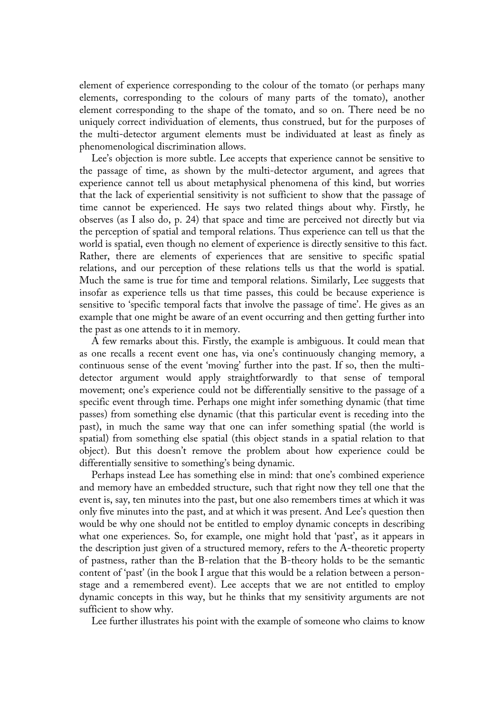element of experience corresponding to the colour of the tomato (or perhaps many elements, corresponding to the colours of many parts of the tomato), another element corresponding to the shape of the tomato, and so on. There need be no uniquely correct individuation of elements, thus construed, but for the purposes of the multi-detector argument elements must be individuated at least as finely as phenomenological discrimination allows.

Lee's objection is more subtle. Lee accepts that experience cannot be sensitive to the passage of time, as shown by the multi-detector argument, and agrees that experience cannot tell us about metaphysical phenomena of this kind, but worries that the lack of experiential sensitivity is not sufficient to show that the passage of time cannot be experienced. He says two related things about why. Firstly, he observes (as I also do, p. 24) that space and time are perceived not directly but via the perception of spatial and temporal relations. Thus experience can tell us that the world is spatial, even though no element of experience is directly sensitive to this fact. Rather, there are elements of experiences that are sensitive to specific spatial relations, and our perception of these relations tells us that the world is spatial. Much the same is true for time and temporal relations. Similarly, Lee suggests that insofar as experience tells us that time passes, this could be because experience is sensitive to 'specific temporal facts that involve the passage of time'. He gives as an example that one might be aware of an event occurring and then getting further into the past as one attends to it in memory.

A few remarks about this. Firstly, the example is ambiguous. It could mean that as one recalls a recent event one has, via one's continuously changing memory, a continuous sense of the event 'moving' further into the past. If so, then the multidetector argument would apply straightforwardly to that sense of temporal movement; one's experience could not be differentially sensitive to the passage of a specific event through time. Perhaps one might infer something dynamic (that time passes) from something else dynamic (that this particular event is receding into the past), in much the same way that one can infer something spatial (the world is spatial) from something else spatial (this object stands in a spatial relation to that object). But this doesn't remove the problem about how experience could be differentially sensitive to something's being dynamic.

Perhaps instead Lee has something else in mind: that one's combined experience and memory have an embedded structure, such that right now they tell one that the event is, say, ten minutes into the past, but one also remembers times at which it was only five minutes into the past, and at which it was present. And Lee's question then would be why one should not be entitled to employ dynamic concepts in describing what one experiences. So, for example, one might hold that 'past', as it appears in the description just given of a structured memory, refers to the A-theoretic property of pastness, rather than the B-relation that the B-theory holds to be the semantic content of 'past' (in the book I argue that this would be a relation between a personstage and a remembered event). Lee accepts that we are not entitled to employ dynamic concepts in this way, but he thinks that my sensitivity arguments are not sufficient to show why.

Lee further illustrates his point with the example of someone who claims to know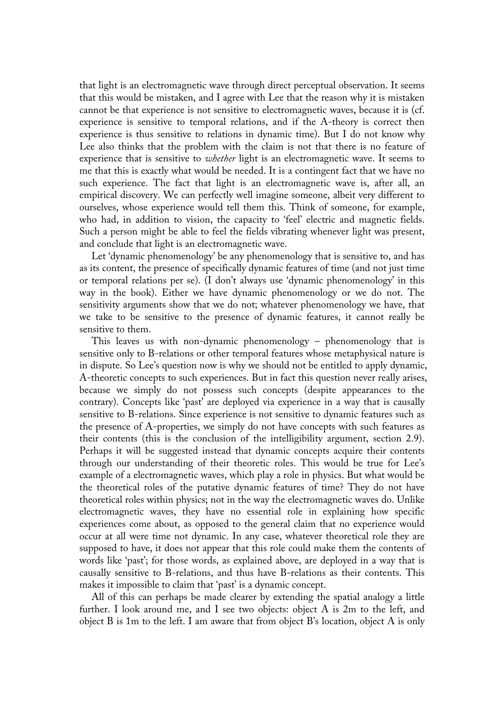that light is an electromagnetic wave through direct perceptual observation. It seems that this would be mistaken, and I agree with Lee that the reason why it is mistaken cannot be that experience is not sensitive to electromagnetic waves, because it is (cf. experience is sensitive to temporal relations, and if the A-theory is correct then experience is thus sensitive to relations in dynamic time). But I do not know why Lee also thinks that the problem with the claim is not that there is no feature of experience that is sensitive to *whether* light is an electromagnetic wave. It seems to me that this is exactly what would be needed. It is a contingent fact that we have no such experience. The fact that light is an electromagnetic wave is, after all, an empirical discovery. We can perfectly well imagine someone, albeit very different to ourselves, whose experience would tell them this. Think of someone, for example, who had, in addition to vision, the capacity to 'feel' electric and magnetic fields. Such a person might be able to feel the fields vibrating whenever light was present, and conclude that light is an electromagnetic wave.

Let 'dynamic phenomenology' be any phenomenology that is sensitive to, and has as its content, the presence of specifically dynamic features of time (and not just time or temporal relations per se). (I don't always use 'dynamic phenomenology' in this way in the book). Either we have dynamic phenomenology or we do not. The sensitivity arguments show that we do not; whatever phenomenology we have, that we take to be sensitive to the presence of dynamic features, it cannot really be sensitive to them.

This leaves us with non-dynamic phenomenology – phenomenology that is sensitive only to B-relations or other temporal features whose metaphysical nature is in dispute. So Lee's question now is why we should not be entitled to apply dynamic, A-theoretic concepts to such experiences. But in fact this question never really arises, because we simply do not possess such concepts (despite appearances to the contrary). Concepts like 'past' are deployed via experience in a way that is causally sensitive to B-relations. Since experience is not sensitive to dynamic features such as the presence of A-properties, we simply do not have concepts with such features as their contents (this is the conclusion of the intelligibility argument, section 2.9). Perhaps it will be suggested instead that dynamic concepts acquire their contents through our understanding of their theoretic roles. This would be true for Lee's example of a electromagnetic waves, which play a role in physics. But what would be the theoretical roles of the putative dynamic features of time? They do not have theoretical roles within physics; not in the way the electromagnetic waves do. Unlike electromagnetic waves, they have no essential role in explaining how specific experiences come about, as opposed to the general claim that no experience would occur at all were time not dynamic. In any case, whatever theoretical role they are supposed to have, it does not appear that this role could make them the contents of words like 'past'; for those words, as explained above, are deployed in a way that is causally sensitive to B-relations, and thus have B-relations as their contents. This makes it impossible to claim that 'past' is a dynamic concept.

All of this can perhaps be made clearer by extending the spatial analogy a little further. I look around me, and I see two objects: object A is 2m to the left, and object B is 1m to the left. I am aware that from object B's location, object A is only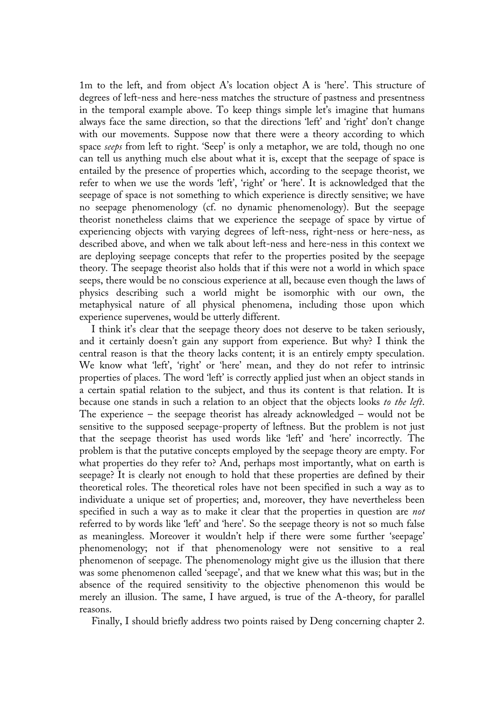1m to the left, and from object A's location object A is 'here'. This structure of degrees of left-ness and here-ness matches the structure of pastness and presentness in the temporal example above. To keep things simple let's imagine that humans always face the same direction, so that the directions 'left' and 'right' don't change with our movements. Suppose now that there were a theory according to which space *seeps* from left to right. 'Seep' is only a metaphor, we are told, though no one can tell us anything much else about what it is, except that the seepage of space is entailed by the presence of properties which, according to the seepage theorist, we refer to when we use the words 'left', 'right' or 'here'. It is acknowledged that the seepage of space is not something to which experience is directly sensitive; we have no seepage phenomenology (cf. no dynamic phenomenology). But the seepage theorist nonetheless claims that we experience the seepage of space by virtue of experiencing objects with varying degrees of left-ness, right-ness or here-ness, as described above, and when we talk about left-ness and here-ness in this context we are deploying seepage concepts that refer to the properties posited by the seepage theory. The seepage theorist also holds that if this were not a world in which space seeps, there would be no conscious experience at all, because even though the laws of physics describing such a world might be isomorphic with our own, the metaphysical nature of all physical phenomena, including those upon which experience supervenes, would be utterly different.

I think it's clear that the seepage theory does not deserve to be taken seriously, and it certainly doesn't gain any support from experience. But why? I think the central reason is that the theory lacks content; it is an entirely empty speculation. We know what 'left', 'right' or 'here' mean, and they do not refer to intrinsic properties of places. The word 'left' is correctly applied just when an object stands in a certain spatial relation to the subject, and thus its content is that relation. It is because one stands in such a relation to an object that the objects looks *to the left*. The experience – the seepage theorist has already acknowledged – would not be sensitive to the supposed seepage-property of leftness. But the problem is not just that the seepage theorist has used words like 'left' and 'here' incorrectly. The problem is that the putative concepts employed by the seepage theory are empty. For what properties do they refer to? And, perhaps most importantly, what on earth is seepage? It is clearly not enough to hold that these properties are defined by their theoretical roles. The theoretical roles have not been specified in such a way as to individuate a unique set of properties; and, moreover, they have nevertheless been specified in such a way as to make it clear that the properties in question are *not* referred to by words like 'left' and 'here'. So the seepage theory is not so much false as meaningless. Moreover it wouldn't help if there were some further 'seepage' phenomenology; not if that phenomenology were not sensitive to a real phenomenon of seepage. The phenomenology might give us the illusion that there was some phenomenon called 'seepage', and that we knew what this was; but in the absence of the required sensitivity to the objective phenomenon this would be merely an illusion. The same, I have argued, is true of the A-theory, for parallel reasons.

Finally, I should briefly address two points raised by Deng concerning chapter 2.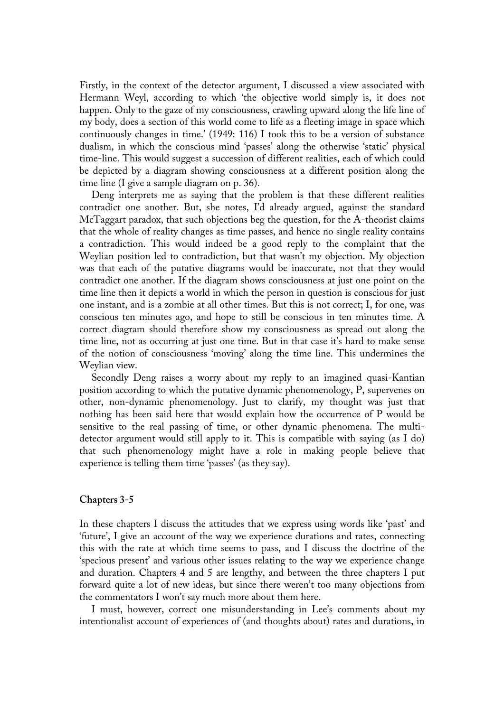Firstly, in the context of the detector argument, I discussed a view associated with Hermann Weyl, according to which 'the objective world simply is, it does not happen. Only to the gaze of my consciousness, crawling upward along the life line of my body, does a section of this world come to life as a fleeting image in space which continuously changes in time.' (1949: 116) I took this to be a version of substance dualism, in which the conscious mind 'passes' along the otherwise 'static' physical time-line. This would suggest a succession of different realities, each of which could be depicted by a diagram showing consciousness at a different position along the time line (I give a sample diagram on p. 36).

Deng interprets me as saying that the problem is that these different realities contradict one another. But, she notes, I'd already argued, against the standard McTaggart paradox, that such objections beg the question, for the A-theorist claims that the whole of reality changes as time passes, and hence no single reality contains a contradiction. This would indeed be a good reply to the complaint that the Weylian position led to contradiction, but that wasn't my objection. My objection was that each of the putative diagrams would be inaccurate, not that they would contradict one another. If the diagram shows consciousness at just one point on the time line then it depicts a world in which the person in question is conscious for just one instant, and is a zombie at all other times. But this is not correct; I, for one, was conscious ten minutes ago, and hope to still be conscious in ten minutes time. A correct diagram should therefore show my consciousness as spread out along the time line, not as occurring at just one time. But in that case it's hard to make sense of the notion of consciousness 'moving' along the time line. This undermines the Weylian view.

Secondly Deng raises a worry about my reply to an imagined quasi-Kantian position according to which the putative dynamic phenomenology, P, supervenes on other, non-dynamic phenomenology. Just to clarify, my thought was just that nothing has been said here that would explain how the occurrence of P would be sensitive to the real passing of time, or other dynamic phenomena. The multidetector argument would still apply to it. This is compatible with saying (as I do) that such phenomenology might have a role in making people believe that experience is telling them time 'passes' (as they say).

### **Chapters 3-5**

In these chapters I discuss the attitudes that we express using words like 'past' and 'future', I give an account of the way we experience durations and rates, connecting this with the rate at which time seems to pass, and I discuss the doctrine of the 'specious present' and various other issues relating to the way we experience change and duration. Chapters 4 and 5 are lengthy, and between the three chapters I put forward quite a lot of new ideas, but since there weren't too many objections from the commentators I won't say much more about them here.

I must, however, correct one misunderstanding in Lee's comments about my intentionalist account of experiences of (and thoughts about) rates and durations, in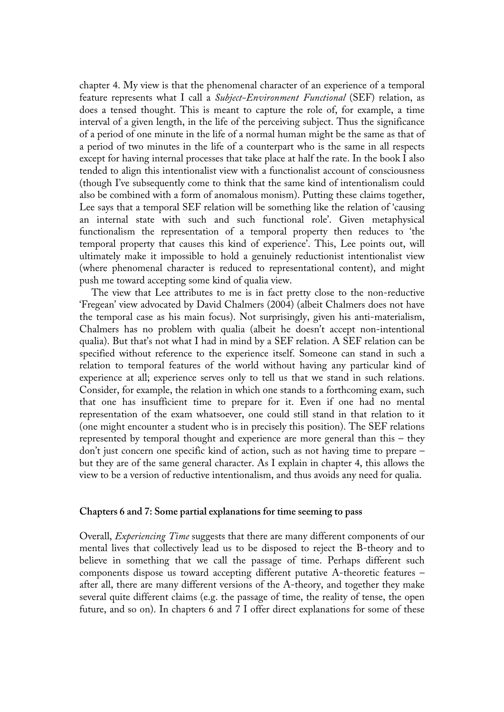chapter 4. My view is that the phenomenal character of an experience of a temporal feature represents what I call a *Subject-Environment Functional* (SEF) relation, as does a tensed thought. This is meant to capture the role of, for example, a time interval of a given length, in the life of the perceiving subject. Thus the significance of a period of one minute in the life of a normal human might be the same as that of a period of two minutes in the life of a counterpart who is the same in all respects except for having internal processes that take place at half the rate. In the book I also tended to align this intentionalist view with a functionalist account of consciousness (though I've subsequently come to think that the same kind of intentionalism could also be combined with a form of anomalous monism). Putting these claims together, Lee says that a temporal SEF relation will be something like the relation of 'causing an internal state with such and such functional role'. Given metaphysical functionalism the representation of a temporal property then reduces to 'the temporal property that causes this kind of experience'. This, Lee points out, will ultimately make it impossible to hold a genuinely reductionist intentionalist view (where phenomenal character is reduced to representational content), and might push me toward accepting some kind of qualia view.

The view that Lee attributes to me is in fact pretty close to the non-reductive 'Fregean' view advocated by David Chalmers (2004) (albeit Chalmers does not have the temporal case as his main focus). Not surprisingly, given his anti-materialism, Chalmers has no problem with qualia (albeit he doesn't accept non-intentional qualia). But that's not what I had in mind by a SEF relation. A SEF relation can be specified without reference to the experience itself. Someone can stand in such a relation to temporal features of the world without having any particular kind of experience at all; experience serves only to tell us that we stand in such relations. Consider, for example, the relation in which one stands to a forthcoming exam, such that one has insufficient time to prepare for it. Even if one had no mental representation of the exam whatsoever, one could still stand in that relation to it (one might encounter a student who is in precisely this position). The SEF relations represented by temporal thought and experience are more general than this – they don't just concern one specific kind of action, such as not having time to prepare – but they are of the same general character. As I explain in chapter 4, this allows the view to be a version of reductive intentionalism, and thus avoids any need for qualia.

### **Chapters 6 and 7: Some partial explanations for time seeming to pass**

Overall, *Experiencing Time* suggests that there are many different components of our mental lives that collectively lead us to be disposed to reject the B-theory and to believe in something that we call the passage of time. Perhaps different such components dispose us toward accepting different putative A-theoretic features – after all, there are many different versions of the A-theory, and together they make several quite different claims (e.g. the passage of time, the reality of tense, the open future, and so on). In chapters 6 and 7 I offer direct explanations for some of these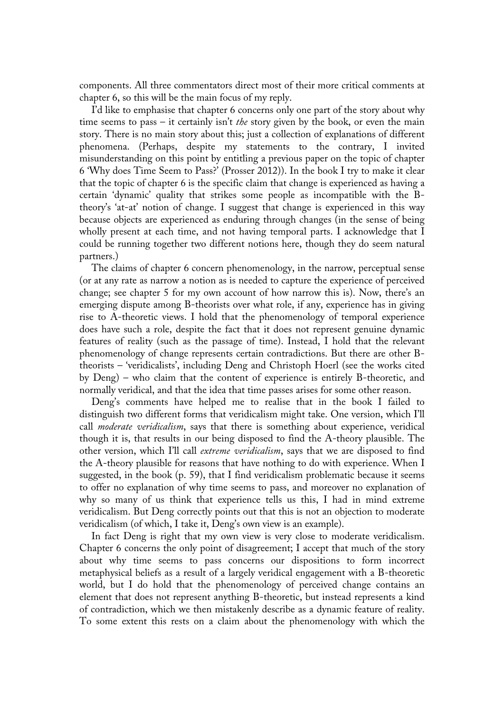components. All three commentators direct most of their more critical comments at chapter 6, so this will be the main focus of my reply.

I'd like to emphasise that chapter 6 concerns only one part of the story about why time seems to pass – it certainly isn't *the* story given by the book, or even the main story. There is no main story about this; just a collection of explanations of different phenomena. (Perhaps, despite my statements to the contrary, I invited misunderstanding on this point by entitling a previous paper on the topic of chapter 6 'Why does Time Seem to Pass?' (Prosser 2012)). In the book I try to make it clear that the topic of chapter 6 is the specific claim that change is experienced as having a certain 'dynamic' quality that strikes some people as incompatible with the Btheory's 'at-at' notion of change. I suggest that change is experienced in this way because objects are experienced as enduring through changes (in the sense of being wholly present at each time, and not having temporal parts. I acknowledge that I could be running together two different notions here, though they do seem natural partners.)

The claims of chapter 6 concern phenomenology, in the narrow, perceptual sense (or at any rate as narrow a notion as is needed to capture the experience of perceived change; see chapter 5 for my own account of how narrow this is). Now, there's an emerging dispute among B-theorists over what role, if any, experience has in giving rise to A-theoretic views. I hold that the phenomenology of temporal experience does have such a role, despite the fact that it does not represent genuine dynamic features of reality (such as the passage of time). Instead, I hold that the relevant phenomenology of change represents certain contradictions. But there are other Btheorists – 'veridicalists', including Deng and Christoph Hoerl (see the works cited by Deng) – who claim that the content of experience is entirely B-theoretic, and normally veridical, and that the idea that time passes arises for some other reason.

Deng's comments have helped me to realise that in the book I failed to distinguish two different forms that veridicalism might take. One version, which I'll call *moderate veridicalism*, says that there is something about experience, veridical though it is, that results in our being disposed to find the A-theory plausible. The other version, which I'll call *extreme veridicalism*, says that we are disposed to find the A-theory plausible for reasons that have nothing to do with experience. When I suggested, in the book (p. 59), that I find veridicalism problematic because it seems to offer no explanation of why time seems to pass, and moreover no explanation of why so many of us think that experience tells us this, I had in mind extreme veridicalism. But Deng correctly points out that this is not an objection to moderate veridicalism (of which, I take it, Deng's own view is an example).

In fact Deng is right that my own view is very close to moderate veridicalism. Chapter 6 concerns the only point of disagreement; I accept that much of the story about why time seems to pass concerns our dispositions to form incorrect metaphysical beliefs as a result of a largely veridical engagement with a B-theoretic world, but I do hold that the phenomenology of perceived change contains an element that does not represent anything B-theoretic, but instead represents a kind of contradiction, which we then mistakenly describe as a dynamic feature of reality. To some extent this rests on a claim about the phenomenology with which the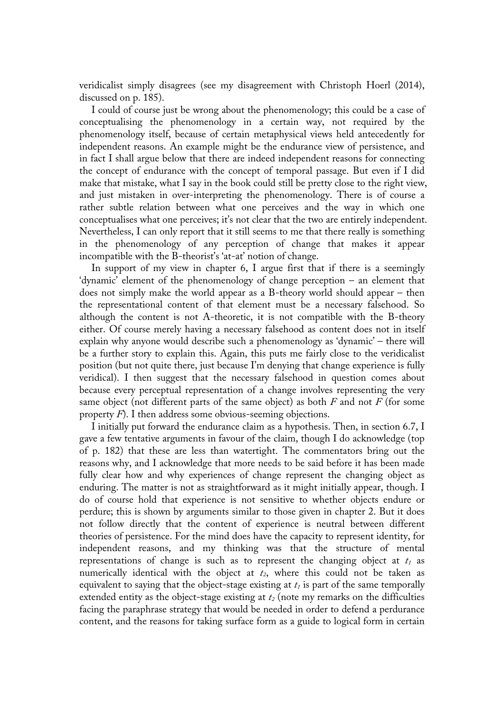veridicalist simply disagrees (see my disagreement with Christoph Hoerl (2014), discussed on p. 185).

I could of course just be wrong about the phenomenology; this could be a case of conceptualising the phenomenology in a certain way, not required by the phenomenology itself, because of certain metaphysical views held antecedently for independent reasons. An example might be the endurance view of persistence, and in fact I shall argue below that there are indeed independent reasons for connecting the concept of endurance with the concept of temporal passage. But even if I did make that mistake, what I say in the book could still be pretty close to the right view, and just mistaken in over-interpreting the phenomenology. There is of course a rather subtle relation between what one perceives and the way in which one conceptualises what one perceives; it's not clear that the two are entirely independent. Nevertheless, I can only report that it still seems to me that there really is something in the phenomenology of any perception of change that makes it appear incompatible with the B-theorist's 'at-at' notion of change.

In support of my view in chapter 6, I argue first that if there is a seemingly 'dynamic' element of the phenomenology of change perception – an element that does not simply make the world appear as a B-theory world should appear – then the representational content of that element must be a necessary falsehood. So although the content is not A-theoretic, it is not compatible with the B-theory either. Of course merely having a necessary falsehood as content does not in itself explain why anyone would describe such a phenomenology as 'dynamic' – there will be a further story to explain this. Again, this puts me fairly close to the veridicalist position (but not quite there, just because I'm denying that change experience is fully veridical). I then suggest that the necessary falsehood in question comes about because every perceptual representation of a change involves representing the very same object (not different parts of the same object) as both  $F$  and not  $F$  (for some property *F*). I then address some obvious-seeming objections.

I initially put forward the endurance claim as a hypothesis. Then, in section 6.7, I gave a few tentative arguments in favour of the claim, though I do acknowledge (top of p. 182) that these are less than watertight. The commentators bring out the reasons why, and I acknowledge that more needs to be said before it has been made fully clear how and why experiences of change represent the changing object as enduring. The matter is not as straightforward as it might initially appear, though. I do of course hold that experience is not sensitive to whether objects endure or perdure; this is shown by arguments similar to those given in chapter 2. But it does not follow directly that the content of experience is neutral between different theories of persistence. For the mind does have the capacity to represent identity, for independent reasons, and my thinking was that the structure of mental representations of change is such as to represent the changing object at  $t_1$  as numerically identical with the object at  $t_2$ , where this could not be taken as equivalent to saying that the object-stage existing at  $t_1$  is part of the same temporally extended entity as the object-stage existing at  $t_2$  (note my remarks on the difficulties facing the paraphrase strategy that would be needed in order to defend a perdurance content, and the reasons for taking surface form as a guide to logical form in certain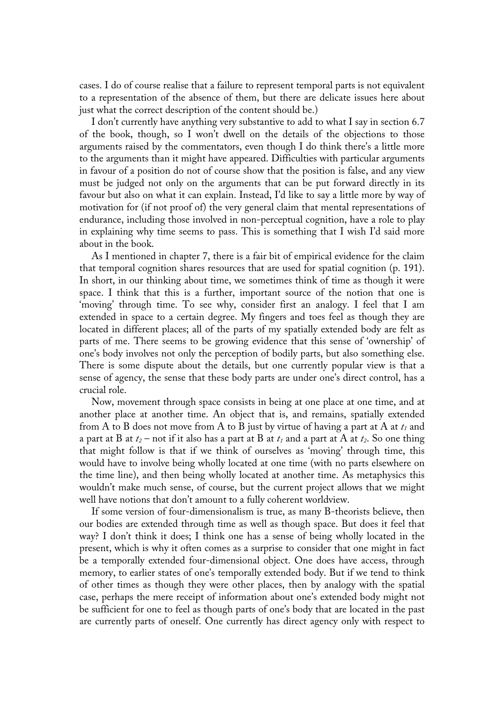cases. I do of course realise that a failure to represent temporal parts is not equivalent to a representation of the absence of them, but there are delicate issues here about just what the correct description of the content should be.)

I don't currently have anything very substantive to add to what I say in section 6.7 of the book, though, so I won't dwell on the details of the objections to those arguments raised by the commentators, even though I do think there's a little more to the arguments than it might have appeared. Difficulties with particular arguments in favour of a position do not of course show that the position is false, and any view must be judged not only on the arguments that can be put forward directly in its favour but also on what it can explain. Instead, I'd like to say a little more by way of motivation for (if not proof of) the very general claim that mental representations of endurance, including those involved in non-perceptual cognition, have a role to play in explaining why time seems to pass. This is something that I wish I'd said more about in the book.

As I mentioned in chapter 7, there is a fair bit of empirical evidence for the claim that temporal cognition shares resources that are used for spatial cognition (p. 191). In short, in our thinking about time, we sometimes think of time as though it were space. I think that this is a further, important source of the notion that one is 'moving' through time. To see why, consider first an analogy. I feel that I am extended in space to a certain degree. My fingers and toes feel as though they are located in different places; all of the parts of my spatially extended body are felt as parts of me. There seems to be growing evidence that this sense of 'ownership' of one's body involves not only the perception of bodily parts, but also something else. There is some dispute about the details, but one currently popular view is that a sense of agency, the sense that these body parts are under one's direct control, has a crucial role.

Now, movement through space consists in being at one place at one time, and at another place at another time. An object that is, and remains, spatially extended from A to B does not move from A to B just by virtue of having a part at A at  $t_1$  and a part at B at  $t_2$  – not if it also has a part at B at  $t_1$  and a part at A at  $t_2$ . So one thing that might follow is that if we think of ourselves as 'moving' through time, this would have to involve being wholly located at one time (with no parts elsewhere on the time line), and then being wholly located at another time. As metaphysics this wouldn't make much sense, of course, but the current project allows that we might well have notions that don't amount to a fully coherent worldview.

If some version of four-dimensionalism is true, as many B-theorists believe, then our bodies are extended through time as well as though space. But does it feel that way? I don't think it does; I think one has a sense of being wholly located in the present, which is why it often comes as a surprise to consider that one might in fact be a temporally extended four-dimensional object. One does have access, through memory, to earlier states of one's temporally extended body. But if we tend to think of other times as though they were other places, then by analogy with the spatial case, perhaps the mere receipt of information about one's extended body might not be sufficient for one to feel as though parts of one's body that are located in the past are currently parts of oneself. One currently has direct agency only with respect to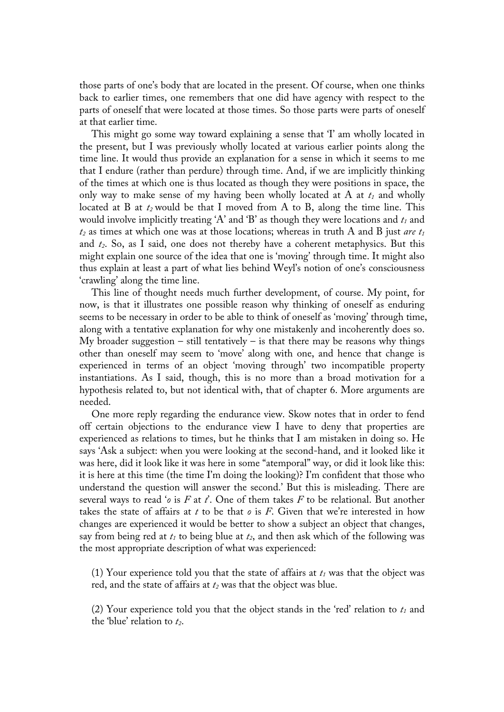those parts of one's body that are located in the present. Of course, when one thinks back to earlier times, one remembers that one did have agency with respect to the parts of oneself that were located at those times. So those parts were parts of oneself at that earlier time.

This might go some way toward explaining a sense that 'I' am wholly located in the present, but I was previously wholly located at various earlier points along the time line. It would thus provide an explanation for a sense in which it seems to me that I endure (rather than perdure) through time. And, if we are implicitly thinking of the times at which one is thus located as though they were positions in space, the only way to make sense of my having been wholly located at A at  $t_1$  and wholly located at B at  $t_2$  would be that I moved from A to B, along the time line. This would involve implicitly treating 'A' and 'B' as though they were locations and  $t_1$  and  $t_2$  as times at which one was at those locations; whereas in truth A and B just *are*  $t_1$ and *t2*. So, as I said, one does not thereby have a coherent metaphysics. But this might explain one source of the idea that one is 'moving' through time. It might also thus explain at least a part of what lies behind Weyl's notion of one's consciousness 'crawling' along the time line.

This line of thought needs much further development, of course. My point, for now, is that it illustrates one possible reason why thinking of oneself as enduring seems to be necessary in order to be able to think of oneself as 'moving' through time, along with a tentative explanation for why one mistakenly and incoherently does so. My broader suggestion  $-$  still tentatively  $-$  is that there may be reasons why things other than oneself may seem to 'move' along with one, and hence that change is experienced in terms of an object 'moving through' two incompatible property instantiations. As I said, though, this is no more than a broad motivation for a hypothesis related to, but not identical with, that of chapter 6. More arguments are needed.

One more reply regarding the endurance view. Skow notes that in order to fend off certain objections to the endurance view I have to deny that properties are experienced as relations to times, but he thinks that I am mistaken in doing so. He says 'Ask a subject: when you were looking at the second-hand, and it looked like it was here, did it look like it was here in some "atemporal" way, or did it look like this: it is here at this time (the time I'm doing the looking)? I'm confident that those who understand the question will answer the second.' But this is misleading. There are several ways to read '*o* is *F* at *t*'. One of them takes *F* to be relational. But another takes the state of affairs at  $t$  to be that  $\sigma$  is  $F$ . Given that we're interested in how changes are experienced it would be better to show a subject an object that changes, say from being red at  $t_1$  to being blue at  $t_2$ , and then ask which of the following was the most appropriate description of what was experienced:

(1) Your experience told you that the state of affairs at  $t_1$  was that the object was red, and the state of affairs at *t2* was that the object was blue.

(2) Your experience told you that the object stands in the 'red' relation to  $t_1$  and the 'blue' relation to *t*<sub>2</sub>.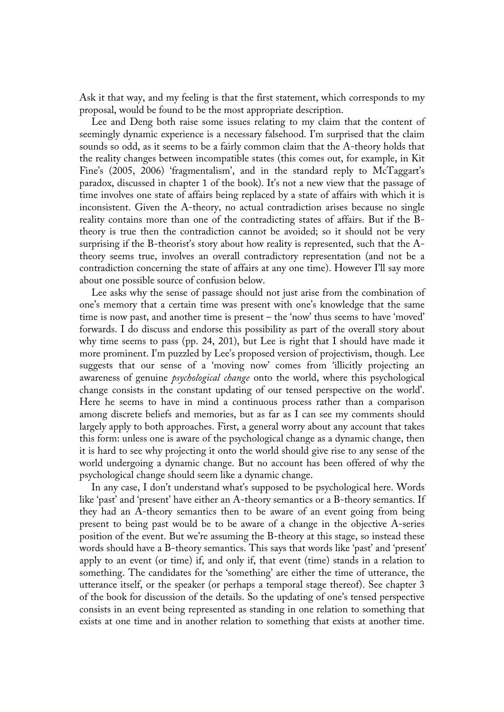Ask it that way, and my feeling is that the first statement, which corresponds to my proposal, would be found to be the most appropriate description.

Lee and Deng both raise some issues relating to my claim that the content of seemingly dynamic experience is a necessary falsehood. I'm surprised that the claim sounds so odd, as it seems to be a fairly common claim that the A-theory holds that the reality changes between incompatible states (this comes out, for example, in Kit Fine's (2005, 2006) 'fragmentalism', and in the standard reply to McTaggart's paradox, discussed in chapter 1 of the book). It's not a new view that the passage of time involves one state of affairs being replaced by a state of affairs with which it is inconsistent. Given the A-theory, no actual contradiction arises because no single reality contains more than one of the contradicting states of affairs. But if the Btheory is true then the contradiction cannot be avoided; so it should not be very surprising if the B-theorist's story about how reality is represented, such that the Atheory seems true, involves an overall contradictory representation (and not be a contradiction concerning the state of affairs at any one time). However I'll say more about one possible source of confusion below.

Lee asks why the sense of passage should not just arise from the combination of one's memory that a certain time was present with one's knowledge that the same time is now past, and another time is present – the 'now' thus seems to have 'moved' forwards. I do discuss and endorse this possibility as part of the overall story about why time seems to pass (pp. 24, 201), but Lee is right that I should have made it more prominent. I'm puzzled by Lee's proposed version of projectivism, though. Lee suggests that our sense of a 'moving now' comes from 'illicitly projecting an awareness of genuine *psychological change* onto the world, where this psychological change consists in the constant updating of our tensed perspective on the world'. Here he seems to have in mind a continuous process rather than a comparison among discrete beliefs and memories, but as far as I can see my comments should largely apply to both approaches. First, a general worry about any account that takes this form: unless one is aware of the psychological change as a dynamic change, then it is hard to see why projecting it onto the world should give rise to any sense of the world undergoing a dynamic change. But no account has been offered of why the psychological change should seem like a dynamic change.

In any case, I don't understand what's supposed to be psychological here. Words like 'past' and 'present' have either an A-theory semantics or a B-theory semantics. If they had an A-theory semantics then to be aware of an event going from being present to being past would be to be aware of a change in the objective A-series position of the event. But we're assuming the B-theory at this stage, so instead these words should have a B-theory semantics. This says that words like 'past' and 'present' apply to an event (or time) if, and only if, that event (time) stands in a relation to something. The candidates for the 'something' are either the time of utterance, the utterance itself, or the speaker (or perhaps a temporal stage thereof). See chapter 3 of the book for discussion of the details. So the updating of one's tensed perspective consists in an event being represented as standing in one relation to something that exists at one time and in another relation to something that exists at another time.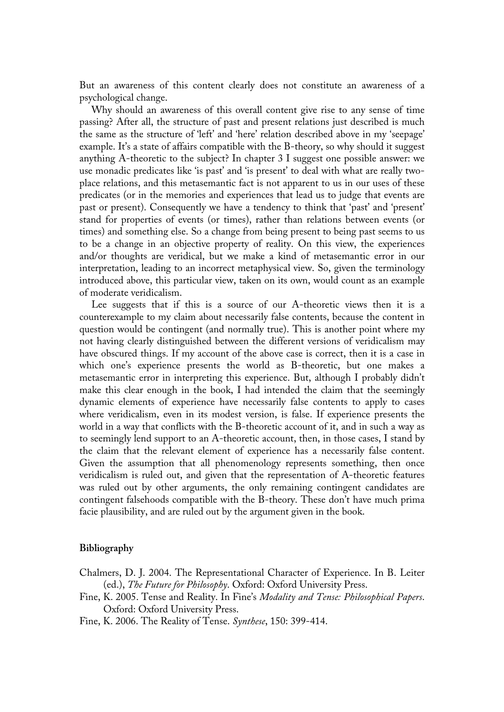But an awareness of this content clearly does not constitute an awareness of a psychological change.

Why should an awareness of this overall content give rise to any sense of time passing? After all, the structure of past and present relations just described is much the same as the structure of 'left' and 'here' relation described above in my 'seepage' example. It's a state of affairs compatible with the B-theory, so why should it suggest anything A-theoretic to the subject? In chapter 3 I suggest one possible answer: we use monadic predicates like 'is past' and 'is present' to deal with what are really twoplace relations, and this metasemantic fact is not apparent to us in our uses of these predicates (or in the memories and experiences that lead us to judge that events are past or present). Consequently we have a tendency to think that 'past' and 'present' stand for properties of events (or times), rather than relations between events (or times) and something else. So a change from being present to being past seems to us to be a change in an objective property of reality. On this view, the experiences and/or thoughts are veridical, but we make a kind of metasemantic error in our interpretation, leading to an incorrect metaphysical view. So, given the terminology introduced above, this particular view, taken on its own, would count as an example of moderate veridicalism.

Lee suggests that if this is a source of our A-theoretic views then it is a counterexample to my claim about necessarily false contents, because the content in question would be contingent (and normally true). This is another point where my not having clearly distinguished between the different versions of veridicalism may have obscured things. If my account of the above case is correct, then it is a case in which one's experience presents the world as B-theoretic, but one makes a metasemantic error in interpreting this experience. But, although I probably didn't make this clear enough in the book, I had intended the claim that the seemingly dynamic elements of experience have necessarily false contents to apply to cases where veridicalism, even in its modest version, is false. If experience presents the world in a way that conflicts with the B-theoretic account of it, and in such a way as to seemingly lend support to an A-theoretic account, then, in those cases, I stand by the claim that the relevant element of experience has a necessarily false content. Given the assumption that all phenomenology represents something, then once veridicalism is ruled out, and given that the representation of A-theoretic features was ruled out by other arguments, the only remaining contingent candidates are contingent falsehoods compatible with the B-theory. These don't have much prima facie plausibility, and are ruled out by the argument given in the book.

## **Bibliography**

- Chalmers, D. J. 2004. The Representational Character of Experience. In B. Leiter (ed.), *The Future for Philosophy*. Oxford: Oxford University Press.
- Fine, K. 2005. Tense and Reality. In Fine's *Modality and Tense: Philosophical Papers*. Oxford: Oxford University Press.

Fine, K. 2006. The Reality of Tense. *Synthese*, 150: 399-414.